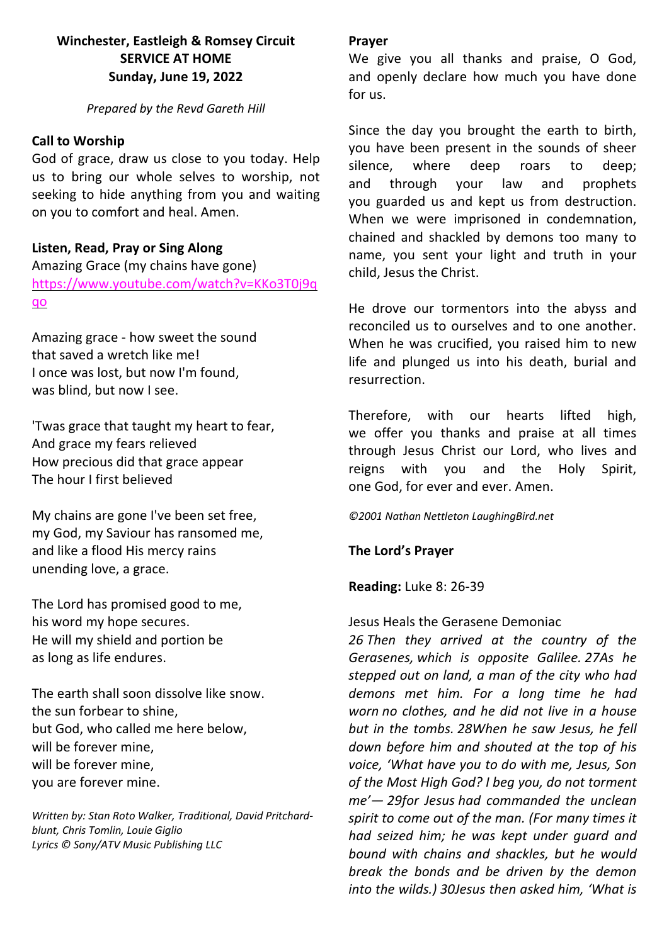# **Winchester, Eastleigh & Romsey Circuit SERVICE AT HOME Sunday, June 19, 2022**

*Prepared by the Revd Gareth Hill*

### **Call to Worship**

God of grace, draw us close to you today. Help us to bring our whole selves to worship, not seeking to hide anything from you and waiting on you to comfort and heal. Amen.

### **Listen, Read, Pray or Sing Along**

Amazing Grace (my chains have gone) [https://www.youtube.com/watch?v=KKo3T0j9q](https://www.youtube.com/watch?v=KKo3T0j9qqo) [qo](https://www.youtube.com/watch?v=KKo3T0j9qqo)

Amazing grace - how [sweet](https://www.definitions.net/definition/sweet) the sound that [saved](https://www.definitions.net/definition/saved) a [wretch](https://www.definitions.net/definition/wretch) like me! I once was lost, but now I'm found, was blind, but now I see.

'Twas [grace](https://www.definitions.net/definition/grace) that [taught](https://www.definitions.net/definition/taught) my [heart](https://www.definitions.net/definition/heart) to fear, And [grace](https://www.definitions.net/definition/grace) my [fears](https://www.definitions.net/definition/fears) relieved How [precious](https://www.definitions.net/definition/precious) did that [grace](https://www.definitions.net/definition/grace) appear The hour I [first](https://www.definitions.net/definition/first) believed

My [chains](https://www.definitions.net/definition/chains) are gone I've been set free, my God, my [Saviour](https://www.definitions.net/definition/Savior) has [ransomed](https://www.definitions.net/definition/ransomed) me, and like a [flood](https://www.definitions.net/definition/flood) His [mercy](https://www.definitions.net/definition/mercy) rains unending love, [a](https://www.definitions.net/definition/Amazing) grace.

The Lord has [promised](https://www.definitions.net/definition/promised) good to me, his word my hope secures. He will my [shield](https://www.definitions.net/definition/shield) and [portion](https://www.definitions.net/definition/portion) be as long as life endures.

The [earth](https://www.definitions.net/definition/earth) shall soon [dissolve](https://www.definitions.net/definition/dissolve) like snow. the sun [forbear](https://www.definitions.net/definition/forbear) to shine, but God, who [called](https://www.definitions.net/definition/called) me here below, will be [forever](https://www.definitions.net/definition/forever) mine, will be [forever](https://www.definitions.net/definition/forever) mine, you are [forever](https://www.definitions.net/definition/forever) mine.

*Written by: Stan Roto Walker, Traditional, David Pritchardblunt, Chris Tomlin, Louie Giglio Lyrics © Sony/ATV Music Publishing LLC*

#### **Prayer**

We give you all thanks and praise, O God. and openly declare how much you have done for us.

Since the day you brought the earth to birth, you have been present in the sounds of sheer silence, where deep roars to deep; and through your law and prophets you guarded us and kept us from destruction. When we were imprisoned in condemnation, chained and shackled by demons too many to name, you sent your light and truth in your child, Jesus the Christ.

He drove our tormentors into the abyss and reconciled us to ourselves and to one another. When he was crucified, you raised him to new life and plunged us into his death, burial and resurrection.

Therefore, with our hearts lifted high, we offer you thanks and praise at all times through Jesus Christ our Lord, who lives and reigns with you and the Holy Spirit, one God, for ever and ever. Amen.

#### *©2001 Nathan Nettleton LaughingBird.net*

### **The Lord's Prayer**

**Reading:** Luke 8: 26-39

### Jesus Heals the Gerasene Demoniac

*26 Then they arrived at the country of the Gerasenes, which is opposite Galilee. 27As he stepped out on land, a man of the city who had demons met him. For a long time he had worn no clothes, and he did not live in a house but in the tombs. 28When he saw Jesus, he fell down before him and shouted at the top of his voice, 'What have you to do with me, Jesus, Son of the Most High God? I beg you, do not torment me'— 29for Jesus had commanded the unclean spirit to come out of the man. (For many times it had seized him; he was kept under guard and bound with chains and shackles, but he would break the bonds and be driven by the demon into the wilds.) 30Jesus then asked him, 'What is*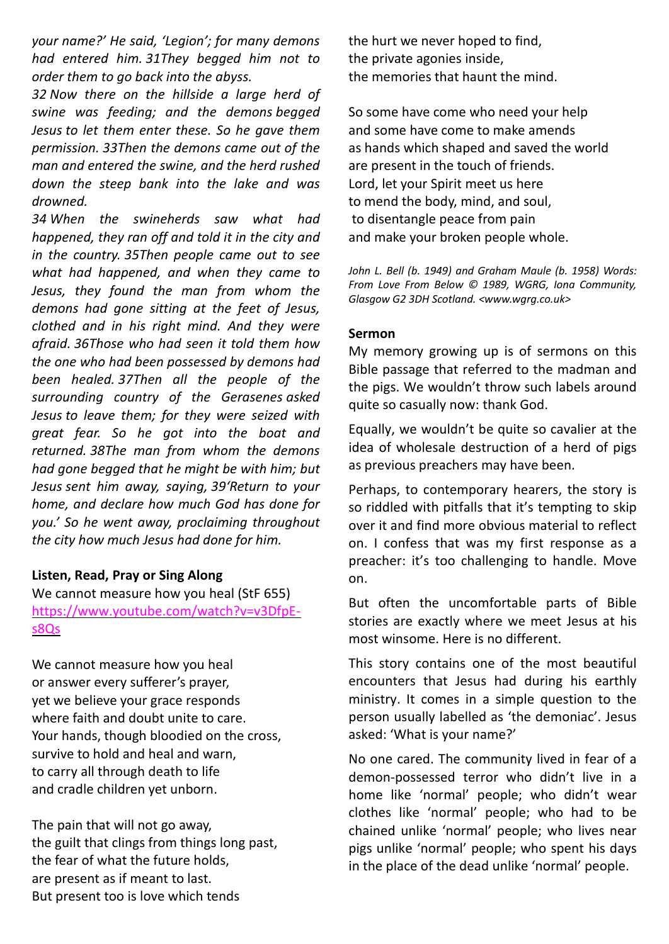*your name?' He said, 'Legion'; for many demons had entered him. 31They begged him not to order them to go back into the abyss.*

*32 Now there on the hillside a large herd of swine was feeding; and the demons begged Jesus to let them enter these. So he gave them permission. 33Then the demons came out of the man and entered the swine, and the herd rushed down the steep bank into the lake and was drowned.*

*34 When the swineherds saw what had happened, they ran off and told it in the city and in the country. 35Then people came out to see what had happened, and when they came to Jesus, they found the man from whom the demons had gone sitting at the feet of Jesus, clothed and in his right mind. And they were afraid. 36Those who had seen it told them how the one who had been possessed by demons had been healed. 37Then all the people of the surrounding country of the Gerasenes asked Jesus to leave them; for they were seized with great fear. So he got into the boat and returned. 38The man from whom the demons had gone begged that he might be with him; but Jesus sent him away, saying, 39'Return to your home, and declare how much God has done for you.' So he went away, proclaiming throughout the city how much Jesus had done for him.*

### **Listen, Read, Pray or Sing Along**

We cannot measure how you heal (StF 655) [https://www.youtube.com/watch?v=v3DfpE](https://www.youtube.com/watch?v=v3DfpE-s8Qs)[s8Qs](https://www.youtube.com/watch?v=v3DfpE-s8Qs) 

We cannot measure how you heal or answer every sufferer's prayer, yet we believe your grace responds where faith and doubt unite to care. Your hands, though bloodied on the cross, survive to hold and heal and warn, to carry all through death to life and cradle children yet unborn.

The pain that will not go away, the guilt that clings from things long past, the fear of what the future holds, are present as if meant to last. But present too is love which tends

the hurt we never hoped to find, the private agonies inside, the memories that haunt the mind.

So some have come who need your help and some have come to make amends as hands which shaped and saved the world are present in the touch of friends. Lord, let your Spirit meet us here to mend the body, mind, and soul, to disentangle peace from pain and make your broken people whole.

*John L. Bell (b. 1949) and Graham Maule (b. 1958) Words: From Love From Below © 1989, WGRG, Iona Community, Glasgow G2 3DH Scotland. <www.wgrg.co.uk>*

#### **Sermon**

My memory growing up is of sermons on this Bible passage that referred to the madman and the pigs. We wouldn't throw such labels around quite so casually now: thank God.

Equally, we wouldn't be quite so cavalier at the idea of wholesale destruction of a herd of pigs as previous preachers may have been.

Perhaps, to contemporary hearers, the story is so riddled with pitfalls that it's tempting to skip over it and find more obvious material to reflect on. I confess that was my first response as a preacher: it's too challenging to handle. Move on.

But often the uncomfortable parts of Bible stories are exactly where we meet Jesus at his most winsome. Here is no different.

This story contains one of the most beautiful encounters that Jesus had during his earthly ministry. It comes in a simple question to the person usually labelled as 'the demoniac'. Jesus asked: 'What is your name?'

No one cared. The community lived in fear of a demon-possessed terror who didn't live in a home like 'normal' people; who didn't wear clothes like 'normal' people; who had to be chained unlike 'normal' people; who lives near pigs unlike 'normal' people; who spent his days in the place of the dead unlike 'normal' people.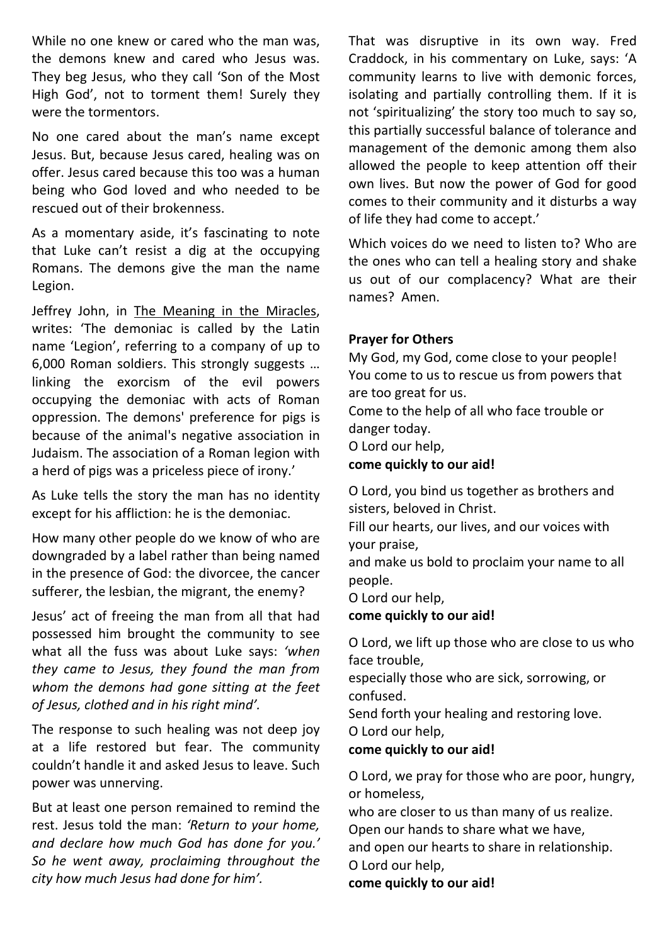While no one knew or cared who the man was, the demons knew and cared who Jesus was. They beg Jesus, who they call 'Son of the Most High God', not to torment them! Surely they were the tormentors.

No one cared about the man's name except Jesus. But, because Jesus cared, healing was on offer. Jesus cared because this too was a human being who God loved and who needed to be rescued out of their brokenness.

As a momentary aside, it's fascinating to note that Luke can't resist a dig at the occupying Romans. The demons give the man the name Legion.

Jeffrey John, in The Meaning in the Miracles, writes: 'The demoniac is called by the Latin name 'Legion', referring to a company of up to 6,000 Roman soldiers. This strongly suggests … linking the exorcism of the evil powers occupying the demoniac with acts of Roman oppression. The demons' preference for pigs is because of the animal's negative association in Judaism. The association of a Roman legion with a herd of pigs was a priceless piece of irony.'

As Luke tells the story the man has no identity except for his affliction: he is the demoniac.

How many other people do we know of who are downgraded by a label rather than being named in the presence of God: the divorcee, the cancer sufferer, the lesbian, the migrant, the enemy?

Jesus' act of freeing the man from all that had possessed him brought the community to see what all the fuss was about Luke says: *'when they came to Jesus, they found the man from whom the demons had gone sitting at the feet of Jesus, clothed and in his right mind'.*

The response to such healing was not deep joy at a life restored but fear. The community couldn't handle it and asked Jesus to leave. Such power was unnerving.

But at least one person remained to remind the rest. Jesus told the man: *'Return to your home, and declare how much God has done for you.' So he went away, proclaiming throughout the city how much Jesus had done for him'.*

That was disruptive in its own way. Fred Craddock, in his commentary on Luke, says: 'A community learns to live with demonic forces, isolating and partially controlling them. If it is not 'spiritualizing' the story too much to say so, this partially successful balance of tolerance and management of the demonic among them also allowed the people to keep attention off their own lives. But now the power of God for good comes to their community and it disturbs a way of life they had come to accept.'

Which voices do we need to listen to? Who are the ones who can tell a healing story and shake us out of our complacency? What are their names? Amen.

### **Prayer for Others**

My God, my God, come close to your people! You come to us to rescue us from powers that are too great for us. Come to the help of all who face trouble or

danger today.

O Lord our help,

**come quickly to our aid!**

O Lord, you bind us together as brothers and sisters, beloved in Christ.

Fill our hearts, our lives, and our voices with your praise,

and make us bold to proclaim your name to all people.

O Lord our help,

**come quickly to our aid!**

O Lord, we lift up those who are close to us who face trouble,

especially those who are sick, sorrowing, or confused.

Send forth your healing and restoring love. O Lord our help,

# **come quickly to our aid!**

O Lord, we pray for those who are poor, hungry, or homeless,

who are closer to us than many of us realize. Open our hands to share what we have,

and open our hearts to share in relationship. O Lord our help,

**come quickly to our aid!**